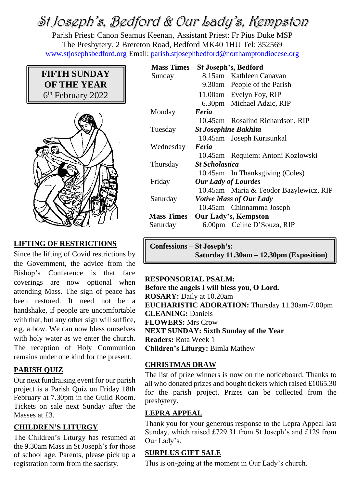# St Joseph's, Bedford & Our Lady's, Kempston

Parish Priest: Canon Seamus Keenan, Assistant Priest: Fr Pius Duke MSP The Presbytery, 2 Brereton Road, Bedford MK40 1HU Tel: 352569 [www.stjosephsbedford.org](http://www.stjosephsbedford.org/) Email: [parish.stjosephbedford@northamptondiocese.org](mailto:parish.stjosephbedford@northamptondiocese.org)

# **FIFTH SUNDAY OF THE YEAR** 6 th February 2022



# **LIFTING OF RESTRICTIONS**

Since the lifting of Covid restrictions by the Government, the advice from the Bishop's Conference is that face coverings are now optional when attending Mass. The sign of peace has been restored. It need not be a handshake, if people are uncomfortable with that, but any other sign will suffice, e.g. a bow. We can now bless ourselves with holy water as we enter the church. The reception of Holy Communion remains under one kind for the present.

# **PARISH QUIZ**

Our next fundraising event for our parish project is a Parish Quiz on Friday 18th February at 7.30pm in the Guild Room. Tickets on sale next Sunday after the Masses at £3.

# **CHILDREN'S LITURGY**

The Children's Liturgy has resumed at the 9.30am Mass in St Joseph's for those of school age. Parents, please pick up a registration form from the sacristy.

#### **Mass Times – St Joseph's, Bedford**

| Sunday                            |                                | 8.15am Kathleen Canavan                |
|-----------------------------------|--------------------------------|----------------------------------------|
|                                   |                                | 9.30am People of the Parish            |
|                                   |                                | 11.00am Evelyn Foy, RIP                |
|                                   |                                | 6.30pm Michael Adzic, RIP              |
| Monday                            | Feria                          |                                        |
|                                   |                                | 10.45am Rosalind Richardson, RIP       |
| Tuesday                           | <b>St Josephine Bakhita</b>    |                                        |
|                                   |                                | 10.45am Joseph Kurisunkal              |
| Wednesday                         | Feria                          |                                        |
|                                   |                                | 10.45am Requiem: Antoni Kozlowski      |
| Thursday                          | <b>St Scholastica</b>          |                                        |
|                                   |                                | 10.45am In Thanksgiving (Coles)        |
| Friday                            | <b>Our Lady of Lourdes</b>     |                                        |
|                                   |                                | 10.45am Maria & Teodor Bazylewicz, RIP |
| Saturday                          | <b>Votive Mass of Our Lady</b> |                                        |
|                                   |                                | 10.45am Chinnamma Joseph               |
| Mass Times – Our Lady's, Kempston |                                |                                        |
| Saturday                          |                                | 6.00pm Celine D'Souza, RIP             |

**Confessions** – **St Joseph's: Saturday 11.30am – 12.30pm (Exposition)**

#### **RESPONSORIAL PSALM:**

**Before the angels I will bless you, O Lord. ROSARY:** Daily at 10.20am **EUCHARISTIC ADORATION:** Thursday 11.30am-7.00pm **CLEANING:** Daniels **FLOWERS:** Mrs Crow **NEXT SUNDAY: Sixth Sunday of the Year Readers:** Rota Week 1 **Children's Liturgy:** Bimla Mathew

#### **CHRISTMAS DRAW**

The list of prize winners is now on the noticeboard. Thanks to all who donated prizes and bought tickets which raised £1065.30 for the parish project. Prizes can be collected from the presbytery.

### **LEPRA APPEAL**

Thank you for your generous response to the Lepra Appeal last Sunday, which raised £729.31 from St Joseph's and £129 from Our Lady's.

### **SURPLUS GIFT SALE**

This is on-going at the moment in Our Lady's church.